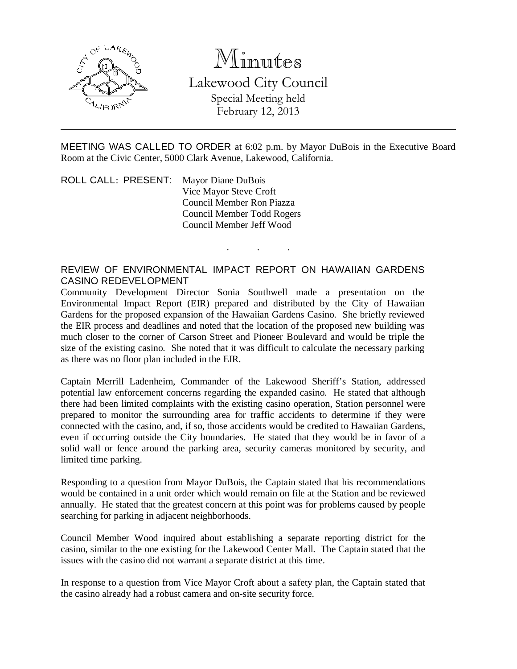

# Minutes

Lakewood City Council Special Meeting held February 12, 2013

MEETING WAS CALLED TO ORDER at 6:02 p.m. by Mayor DuBois in the Executive Board Room at the Civic Center, 5000 Clark Avenue, Lakewood, California.

. . .

ROLL CALL: PRESENT: Mayor Diane DuBois Vice Mayor Steve Croft Council Member Ron Piazza Council Member Todd Rogers Council Member Jeff Wood

# REVIEW OF ENVIRONMENTAL IMPACT REPORT ON HAWAIIAN GARDENS CASINO REDEVELOPMENT

Community Development Director Sonia Southwell made a presentation on the Environmental Impact Report (EIR) prepared and distributed by the City of Hawaiian Gardens for the proposed expansion of the Hawaiian Gardens Casino. She briefly reviewed the EIR process and deadlines and noted that the location of the proposed new building was much closer to the corner of Carson Street and Pioneer Boulevard and would be triple the size of the existing casino. She noted that it was difficult to calculate the necessary parking as there was no floor plan included in the EIR.

Captain Merrill Ladenheim, Commander of the Lakewood Sheriff's Station, addressed potential law enforcement concerns regarding the expanded casino. He stated that although there had been limited complaints with the existing casino operation, Station personnel were prepared to monitor the surrounding area for traffic accidents to determine if they were connected with the casino, and, if so, those accidents would be credited to Hawaiian Gardens, even if occurring outside the City boundaries. He stated that they would be in favor of a solid wall or fence around the parking area, security cameras monitored by security, and limited time parking.

Responding to a question from Mayor DuBois, the Captain stated that his recommendations would be contained in a unit order which would remain on file at the Station and be reviewed annually. He stated that the greatest concern at this point was for problems caused by people searching for parking in adjacent neighborhoods.

Council Member Wood inquired about establishing a separate reporting district for the casino, similar to the one existing for the Lakewood Center Mall. The Captain stated that the issues with the casino did not warrant a separate district at this time.

In response to a question from Vice Mayor Croft about a safety plan, the Captain stated that the casino already had a robust camera and on-site security force.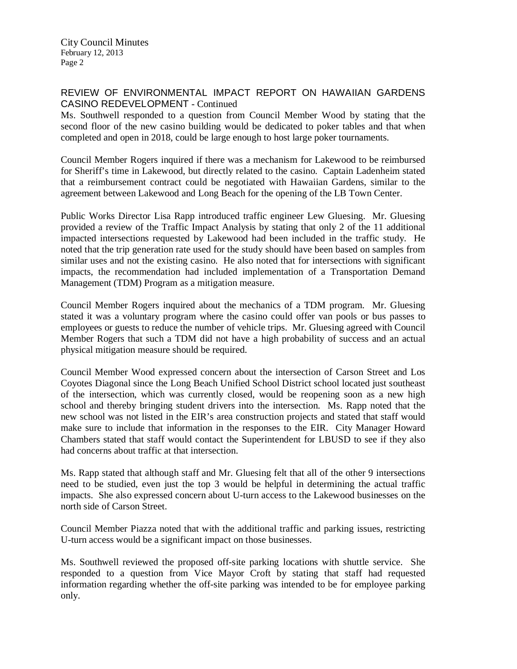City Council Minutes February 12, 2013 Page 2

### REVIEW OF ENVIRONMENTAL IMPACT REPORT ON HAWAIIAN GARDENS CASINO REDEVELOPMENT - Continued

Ms. Southwell responded to a question from Council Member Wood by stating that the second floor of the new casino building would be dedicated to poker tables and that when completed and open in 2018, could be large enough to host large poker tournaments.

Council Member Rogers inquired if there was a mechanism for Lakewood to be reimbursed for Sheriff's time in Lakewood, but directly related to the casino. Captain Ladenheim stated that a reimbursement contract could be negotiated with Hawaiian Gardens, similar to the agreement between Lakewood and Long Beach for the opening of the LB Town Center.

Public Works Director Lisa Rapp introduced traffic engineer Lew Gluesing. Mr. Gluesing provided a review of the Traffic Impact Analysis by stating that only 2 of the 11 additional impacted intersections requested by Lakewood had been included in the traffic study. He noted that the trip generation rate used for the study should have been based on samples from similar uses and not the existing casino. He also noted that for intersections with significant impacts, the recommendation had included implementation of a Transportation Demand Management (TDM) Program as a mitigation measure.

Council Member Rogers inquired about the mechanics of a TDM program. Mr. Gluesing stated it was a voluntary program where the casino could offer van pools or bus passes to employees or guests to reduce the number of vehicle trips. Mr. Gluesing agreed with Council Member Rogers that such a TDM did not have a high probability of success and an actual physical mitigation measure should be required.

Council Member Wood expressed concern about the intersection of Carson Street and Los Coyotes Diagonal since the Long Beach Unified School District school located just southeast of the intersection, which was currently closed, would be reopening soon as a new high school and thereby bringing student drivers into the intersection. Ms. Rapp noted that the new school was not listed in the EIR's area construction projects and stated that staff would make sure to include that information in the responses to the EIR. City Manager Howard Chambers stated that staff would contact the Superintendent for LBUSD to see if they also had concerns about traffic at that intersection.

Ms. Rapp stated that although staff and Mr. Gluesing felt that all of the other 9 intersections need to be studied, even just the top 3 would be helpful in determining the actual traffic impacts. She also expressed concern about U-turn access to the Lakewood businesses on the north side of Carson Street.

Council Member Piazza noted that with the additional traffic and parking issues, restricting U-turn access would be a significant impact on those businesses.

Ms. Southwell reviewed the proposed off-site parking locations with shuttle service. She responded to a question from Vice Mayor Croft by stating that staff had requested information regarding whether the off-site parking was intended to be for employee parking only.